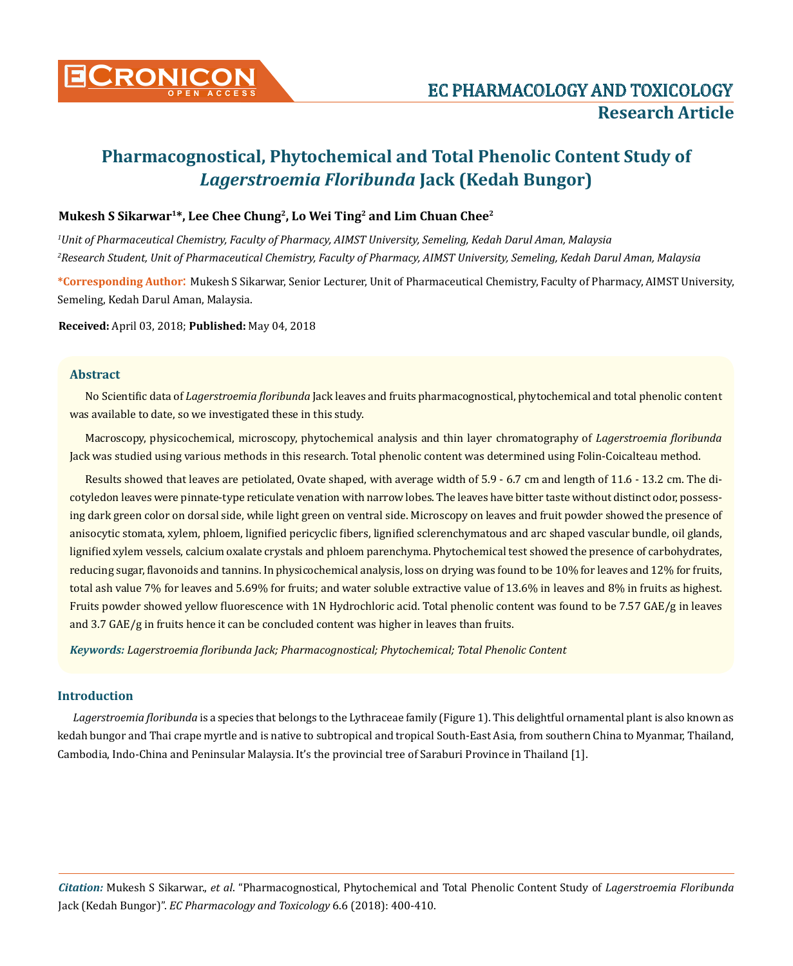

# **Pharmacognostical, Phytochemical and Total Phenolic Content Study of**  *Lagerstroemia Floribunda* **Jack (Kedah Bungor)**

# **Mukesh S Sikarwar1\*, Lee Chee Chung2, Lo Wei Ting2 and Lim Chuan Chee2**

*1 Unit of Pharmaceutical Chemistry, Faculty of Pharmacy, AIMST University, Semeling, Kedah Darul Aman, Malaysia 2 Research Student, Unit of Pharmaceutical Chemistry, Faculty of Pharmacy, AIMST University, Semeling, Kedah Darul Aman, Malaysia*

**\*Corresponding Author**: Mukesh S Sikarwar, Senior Lecturer, Unit of Pharmaceutical Chemistry, Faculty of Pharmacy, AIMST University, Semeling, Kedah Darul Aman, Malaysia.

**Received:** April 03, 2018; **Published:** May 04, 2018

## **Abstract**

No Scientific data of *Lagerstroemia floribunda* Jack leaves and fruits pharmacognostical, phytochemical and total phenolic content was available to date, so we investigated these in this study.

Macroscopy, physicochemical, microscopy, phytochemical analysis and thin layer chromatography of *Lagerstroemia floribunda*  Jack was studied using various methods in this research. Total phenolic content was determined using Folin-Coicalteau method.

Results showed that leaves are petiolated, Ovate shaped, with average width of 5.9 - 6.7 cm and length of 11.6 - 13.2 cm. The dicotyledon leaves were pinnate-type reticulate venation with narrow lobes. The leaves have bitter taste without distinct odor, possessing dark green color on dorsal side, while light green on ventral side. Microscopy on leaves and fruit powder showed the presence of anisocytic stomata, xylem, phloem, lignified pericyclic fibers, lignified sclerenchymatous and arc shaped vascular bundle, oil glands, lignified xylem vessels, calcium oxalate crystals and phloem parenchyma. Phytochemical test showed the presence of carbohydrates, reducing sugar, flavonoids and tannins. In physicochemical analysis, loss on drying was found to be 10% for leaves and 12% for fruits, total ash value 7% for leaves and 5.69% for fruits; and water soluble extractive value of 13.6% in leaves and 8% in fruits as highest. Fruits powder showed yellow fluorescence with 1N Hydrochloric acid. Total phenolic content was found to be 7.57 GAE/g in leaves and 3.7 GAE/g in fruits hence it can be concluded content was higher in leaves than fruits.

*Keywords: Lagerstroemia floribunda Jack; Pharmacognostical; Phytochemical; Total Phenolic Content*

# **Introduction**

*Lagerstroemia floribunda* is a species that belongs to the Lythraceae family (Figure 1). This delightful ornamental plant is also known as kedah bungor and Thai crape myrtle and is native to subtropical and tropical South-East Asia, from southern China to Myanmar, Thailand, Cambodia, Indo-China and Peninsular Malaysia. It's the provincial tree of Saraburi Province in Thailand [1].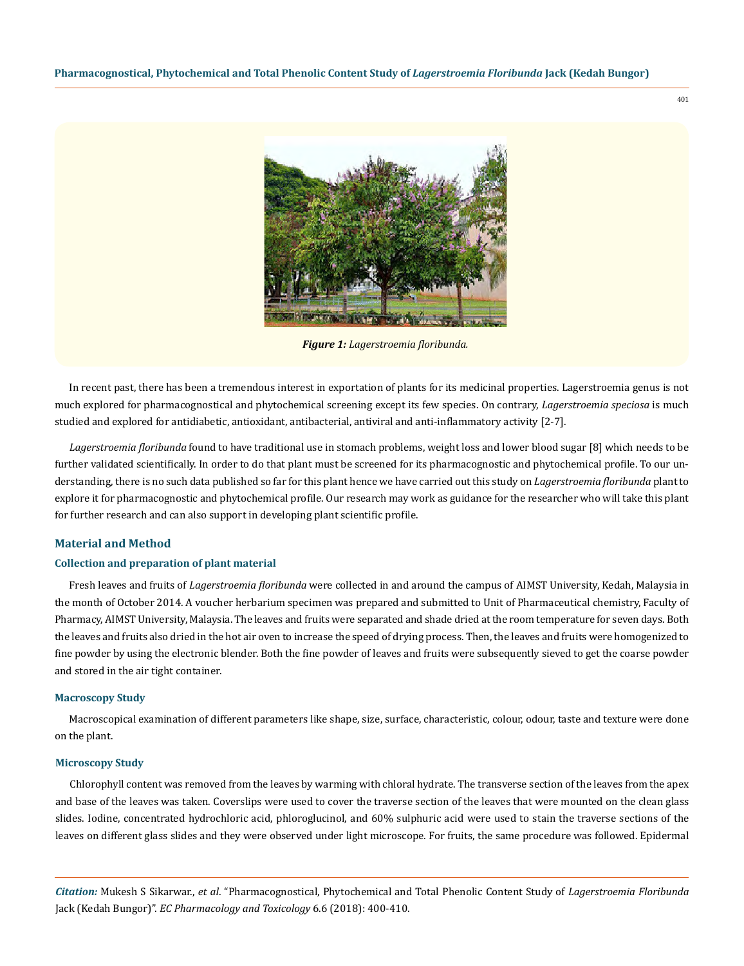

*Figure 1: Lagerstroemia floribunda.*

In recent past, there has been a tremendous interest in exportation of plants for its medicinal properties. Lagerstroemia genus is not much explored for pharmacognostical and phytochemical screening except its few species. On contrary, *Lagerstroemia speciosa* is much studied and explored for antidiabetic, antioxidant, antibacterial, antiviral and anti-inflammatory activity [2-7].

*Lagerstroemia floribunda* found to have traditional use in stomach problems, weight loss and lower blood sugar [8] which needs to be further validated scientifically. In order to do that plant must be screened for its pharmacognostic and phytochemical profile. To our understanding, there is no such data published so far for this plant hence we have carried out this study on *Lagerstroemia floribunda* plant to explore it for pharmacognostic and phytochemical profile. Our research may work as guidance for the researcher who will take this plant for further research and can also support in developing plant scientific profile.

# **Material and Method**

## **Collection and preparation of plant material**

Fresh leaves and fruits of *Lagerstroemia floribunda* were collected in and around the campus of AIMST University, Kedah, Malaysia in the month of October 2014. A voucher herbarium specimen was prepared and submitted to Unit of Pharmaceutical chemistry, Faculty of Pharmacy, AIMST University, Malaysia. The leaves and fruits were separated and shade dried at the room temperature for seven days. Both the leaves and fruits also dried in the hot air oven to increase the speed of drying process. Then, the leaves and fruits were homogenized to fine powder by using the electronic blender. Both the fine powder of leaves and fruits were subsequently sieved to get the coarse powder and stored in the air tight container.

#### **Macroscopy Study**

Macroscopical examination of different parameters like shape, size, surface, characteristic, colour, odour, taste and texture were done on the plant.

#### **Microscopy Study**

Chlorophyll content was removed from the leaves by warming with chloral hydrate. The transverse section of the leaves from the apex and base of the leaves was taken. Coverslips were used to cover the traverse section of the leaves that were mounted on the clean glass slides. Iodine, concentrated hydrochloric acid, phloroglucinol, and 60% sulphuric acid were used to stain the traverse sections of the leaves on different glass slides and they were observed under light microscope. For fruits, the same procedure was followed. Epidermal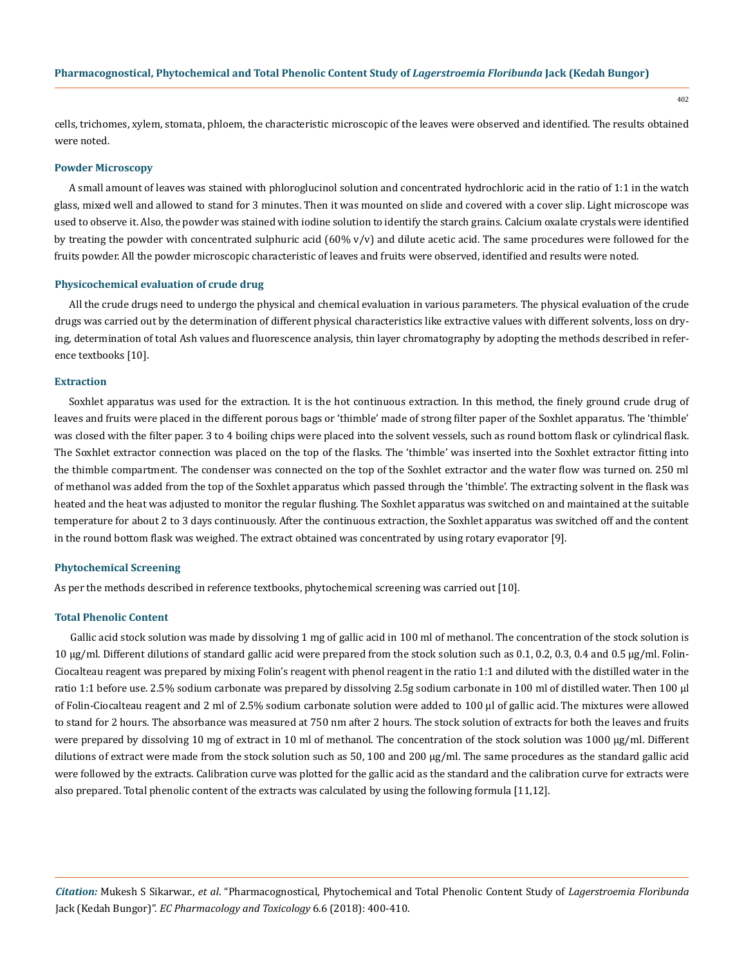cells, trichomes, xylem, stomata, phloem, the characteristic microscopic of the leaves were observed and identified. The results obtained were noted.

## **Powder Microscopy**

A small amount of leaves was stained with phloroglucinol solution and concentrated hydrochloric acid in the ratio of 1:1 in the watch glass, mixed well and allowed to stand for 3 minutes. Then it was mounted on slide and covered with a cover slip. Light microscope was used to observe it. Also, the powder was stained with iodine solution to identify the starch grains. Calcium oxalate crystals were identified by treating the powder with concentrated sulphuric acid  $(60\% v/v)$  and dilute acetic acid. The same procedures were followed for the fruits powder. All the powder microscopic characteristic of leaves and fruits were observed, identified and results were noted.

#### **Physicochemical evaluation of crude drug**

All the crude drugs need to undergo the physical and chemical evaluation in various parameters. The physical evaluation of the crude drugs was carried out by the determination of different physical characteristics like extractive values with different solvents, loss on drying, determination of total Ash values and fluorescence analysis, thin layer chromatography by adopting the methods described in reference textbooks [10].

#### **Extraction**

Soxhlet apparatus was used for the extraction. It is the hot continuous extraction. In this method, the finely ground crude drug of leaves and fruits were placed in the different porous bags or 'thimble' made of strong filter paper of the Soxhlet apparatus. The 'thimble' was closed with the filter paper. 3 to 4 boiling chips were placed into the solvent vessels, such as round bottom flask or cylindrical flask. The Soxhlet extractor connection was placed on the top of the flasks. The 'thimble' was inserted into the Soxhlet extractor fitting into the thimble compartment. The condenser was connected on the top of the Soxhlet extractor and the water flow was turned on. 250 ml of methanol was added from the top of the Soxhlet apparatus which passed through the 'thimble'. The extracting solvent in the flask was heated and the heat was adjusted to monitor the regular flushing. The Soxhlet apparatus was switched on and maintained at the suitable temperature for about 2 to 3 days continuously. After the continuous extraction, the Soxhlet apparatus was switched off and the content in the round bottom flask was weighed. The extract obtained was concentrated by using rotary evaporator [9].

#### **Phytochemical Screening**

As per the methods described in reference textbooks, phytochemical screening was carried out [10].

## **Total Phenolic Content**

Gallic acid stock solution was made by dissolving 1 mg of gallic acid in 100 ml of methanol. The concentration of the stock solution is 10 µg/ml. Different dilutions of standard gallic acid were prepared from the stock solution such as 0.1, 0.2, 0.3, 0.4 and 0.5 µg/ml. Folin-Ciocalteau reagent was prepared by mixing Folin's reagent with phenol reagent in the ratio 1:1 and diluted with the distilled water in the ratio 1:1 before use. 2.5% sodium carbonate was prepared by dissolving 2.5g sodium carbonate in 100 ml of distilled water. Then 100 µl of Folin-Ciocalteau reagent and 2 ml of 2.5% sodium carbonate solution were added to 100 µl of gallic acid. The mixtures were allowed to stand for 2 hours. The absorbance was measured at 750 nm after 2 hours. The stock solution of extracts for both the leaves and fruits were prepared by dissolving 10 mg of extract in 10 ml of methanol. The concentration of the stock solution was 1000 µg/ml. Different dilutions of extract were made from the stock solution such as 50, 100 and 200 µg/ml. The same procedures as the standard gallic acid were followed by the extracts. Calibration curve was plotted for the gallic acid as the standard and the calibration curve for extracts were also prepared. Total phenolic content of the extracts was calculated by using the following formula [11,12].

*Citation:* Mukesh S Sikarwar., *et al*. "Pharmacognostical, Phytochemical and Total Phenolic Content Study of *Lagerstroemia Floribunda*  Jack (Kedah Bungor)". *EC Pharmacology and Toxicology* 6.6 (2018): 400-410.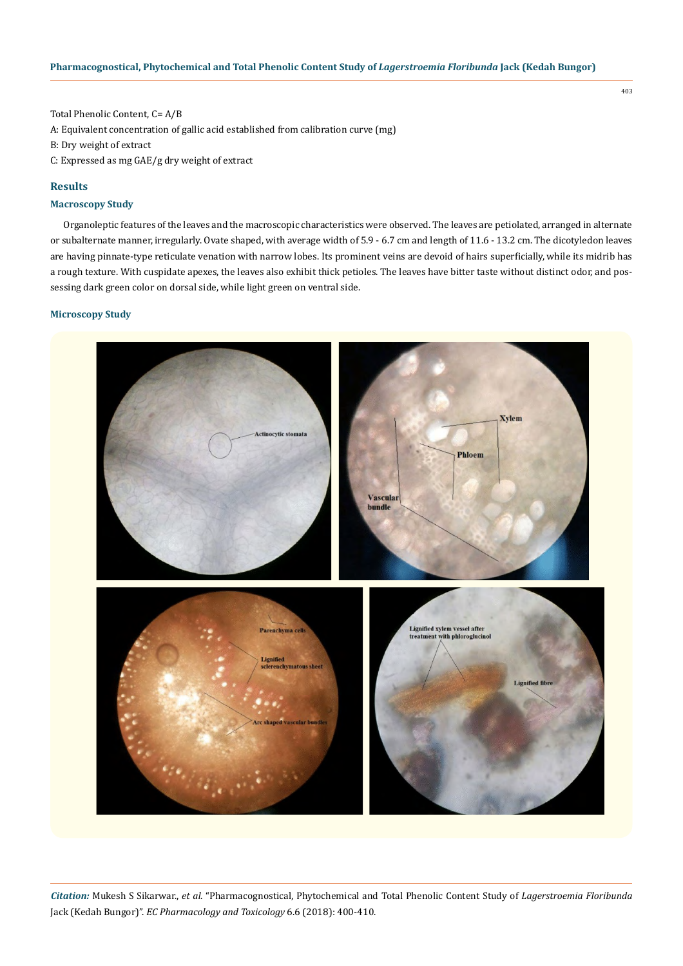Total Phenolic Content, C= A/B A: Equivalent concentration of gallic acid established from calibration curve (mg) B: Dry weight of extract C: Expressed as mg GAE/g dry weight of extract

# **Results**

# **Macroscopy Study**

Organoleptic features of the leaves and the macroscopic characteristics were observed. The leaves are petiolated, arranged in alternate or subalternate manner, irregularly. Ovate shaped, with average width of 5.9 - 6.7 cm and length of 11.6 - 13.2 cm. The dicotyledon leaves are having pinnate-type reticulate venation with narrow lobes. Its prominent veins are devoid of hairs superficially, while its midrib has a rough texture. With cuspidate apexes, the leaves also exhibit thick petioles. The leaves have bitter taste without distinct odor, and possessing dark green color on dorsal side, while light green on ventral side.

## **Microscopy Study**



*Citation:* Mukesh S Sikarwar., *et al*. "Pharmacognostical, Phytochemical and Total Phenolic Content Study of *Lagerstroemia Floribunda*  Jack (Kedah Bungor)". *EC Pharmacology and Toxicology* 6.6 (2018): 400-410.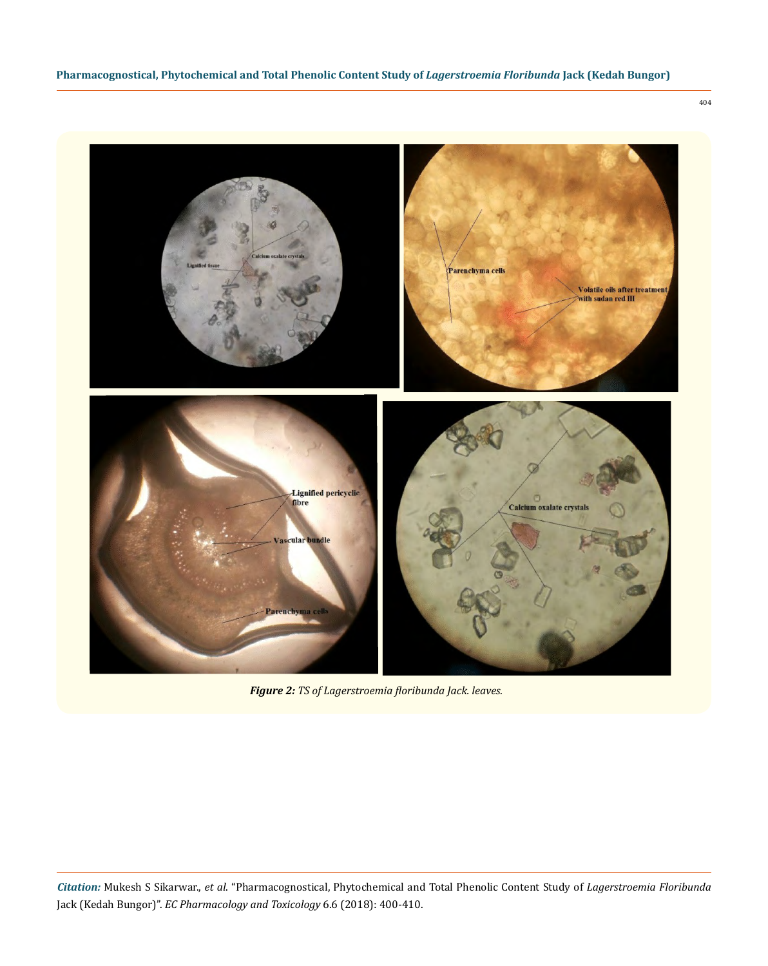

*Figure 2: TS of Lagerstroemia floribunda Jack. leaves.*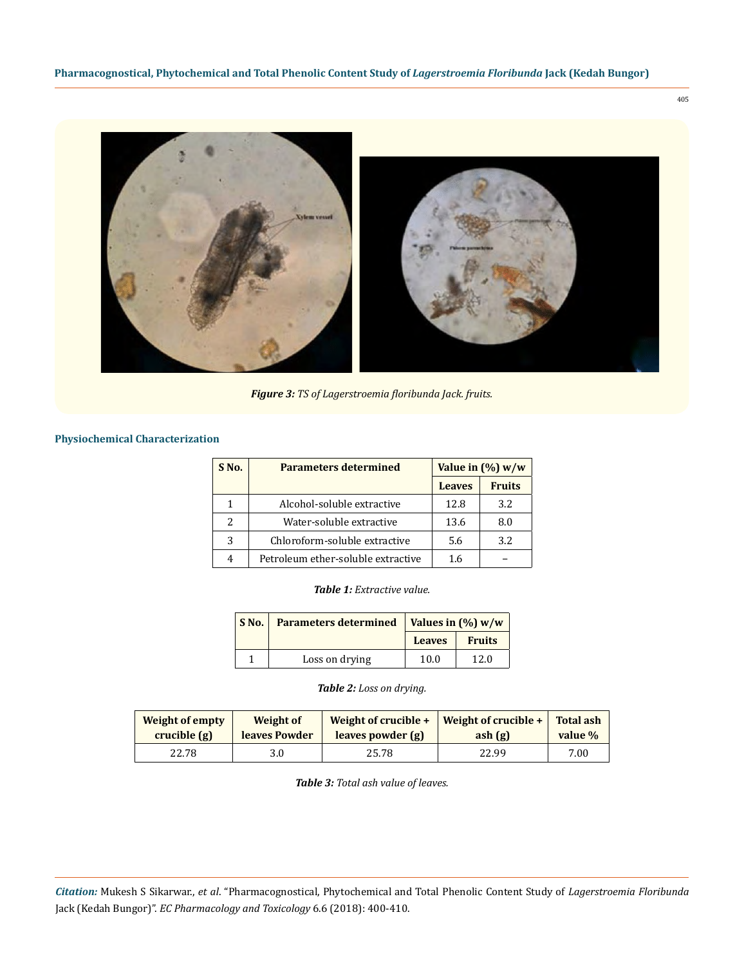

*Figure 3: TS of Lagerstroemia floribunda Jack. fruits.*

# **Physiochemical Characterization**

| S <sub>No.</sub>         | <b>Parameters determined</b>       | Value in $(\%)$ w/w |               |
|--------------------------|------------------------------------|---------------------|---------------|
|                          |                                    | <b>Leaves</b>       | <b>Fruits</b> |
| 1                        | Alcohol-soluble extractive         | 12.8                | 3.2           |
| $\overline{\mathcal{L}}$ | Water-soluble extractive           | 13.6                | 8.0           |
| 3                        | Chloroform-soluble extractive      | 5.6                 | 3.2           |
| 4                        | Petroleum ether-soluble extractive | 1.6                 |               |

*Table 1: Extractive value.*

| S No. | Parameters determined   Values in $(\%)$ w/w |               |               |
|-------|----------------------------------------------|---------------|---------------|
|       |                                              | <b>Leaves</b> | <b>Fruits</b> |
|       | Loss on drying                               | 10.0          | 12.0          |

*Table 2: Loss on drying.*

| Weight of empty | Weight of     | Weight of crucible + | Weight of crucible $+$ | <b>Total ash</b> |
|-----------------|---------------|----------------------|------------------------|------------------|
| crucible(g)     | leaves Powder | leaves powder (g)    | ash(g)                 | value %          |
| 22.78           | 3.0           | 25.78                | 22.99                  | 7.00             |

*Table 3: Total ash value of leaves.*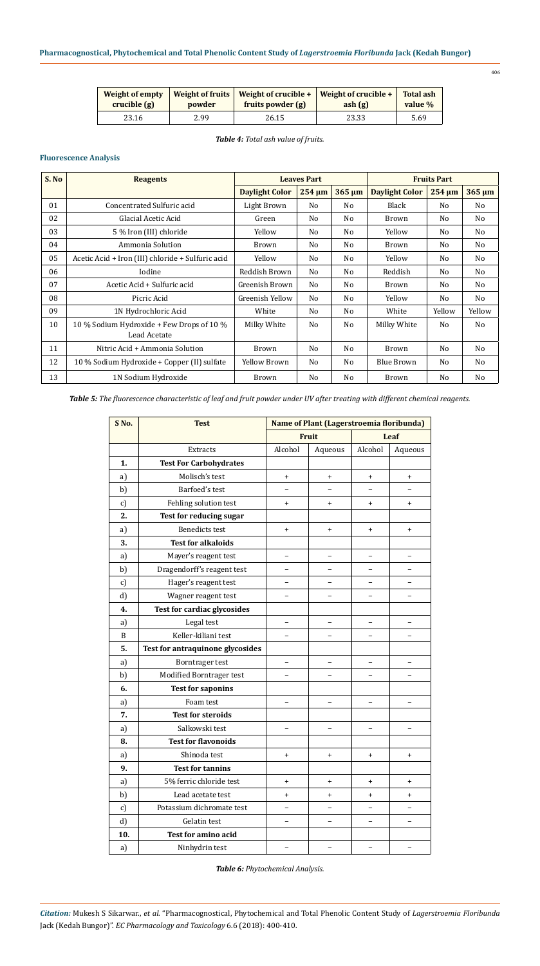| Weight of empty | Weight of fruits | fruits powder (g) | Weight of crucible $+$   Weight of crucible $+$ |      |
|-----------------|------------------|-------------------|-------------------------------------------------|------|
| crucible(g)     | powder           |                   | ash(g)                                          |      |
| 23.16           | 2.99             | 26.15             | 23.33                                           | 5.69 |

*Table 4: Total ash value of fruits.*

# **Fluorescence Analysis**

| S. No | <b>Reagents</b>                                   | <b>Leaves Part</b>    |        | <b>Fruits Part</b> |                       |                |                |
|-------|---------------------------------------------------|-----------------------|--------|--------------------|-----------------------|----------------|----------------|
|       |                                                   | <b>Daylight Color</b> | 254 um | 365 um             | <b>Daylight Color</b> | $254 \mu m$    | $365 \mu m$    |
| 01    | Concentrated Sulfuric acid                        | Light Brown           | No     | No                 | Black                 | N <sub>0</sub> | No             |
| 02    | Glacial Acetic Acid                               | Green                 | No     | No                 | <b>Brown</b>          | N <sub>0</sub> | No             |
| 03    | 5 % Iron (III) chloride                           | Yellow                | No     | No                 | Yellow                | N <sub>0</sub> | No             |
| 04    | Ammonia Solution                                  | Brown                 | No     | No                 | Brown                 | No             | No             |
| 05    | Acetic Acid + Iron (III) chloride + Sulfuric acid | Yellow                | No     | No                 | Yellow                | N <sub>0</sub> | No             |
| 06    | Iodine                                            | Reddish Brown         | No     | No                 | Reddish               | N <sub>0</sub> | No             |
| 07    | Acetic Acid + Sulfuric acid                       | Greenish Brown        | No     | No                 | <b>Brown</b>          | N <sub>0</sub> | No             |
| 08    | Picric Acid                                       | Greenish Yellow       | No     | No                 | Yellow                | N <sub>0</sub> | No             |
| 09    | 1N Hydrochloric Acid                              | White                 | No     | No                 | White                 | Yellow         | Yellow         |
| 10    | 10 % Sodium Hydroxide + Few Drops of 10 %         | Milky White           | No     | No                 | Milky White           | N <sub>o</sub> | N <sub>o</sub> |
|       | Lead Acetate                                      |                       |        |                    |                       |                |                |
| 11    | Nitric Acid + Ammonia Solution                    | Brown                 | No     | No                 | <b>Brown</b>          | N <sub>0</sub> | No             |
| 12    | 10 % Sodium Hydroxide + Copper (II) sulfate       | <b>Yellow Brown</b>   | No     | No                 | <b>Blue Brown</b>     | N <sub>0</sub> | No             |
| 13    | 1N Sodium Hydroxide                               | <b>Brown</b>          | No     | No                 | <b>Brown</b>          | N <sub>0</sub> | No             |

*Table 5: The fluorescence characteristic of leaf and fruit powder under UV after treating with different chemical reagents.*

| S No.         | <b>Test</b>                        |                          | Name of Plant (Lagerstroemia floribunda) |                          |                          |
|---------------|------------------------------------|--------------------------|------------------------------------------|--------------------------|--------------------------|
|               |                                    |                          | <b>Fruit</b>                             |                          | Leaf                     |
|               | <b>Extracts</b>                    | Alcohol                  | Aqueous                                  | Alcohol                  | Aqueous                  |
| 1.            | <b>Test For Carbohydrates</b>      |                          |                                          |                          |                          |
| a)            | Molisch's test                     | $\ddot{}$                | $\ddot{}$                                | $\ddot{}$                | $\ddot{}$                |
| b)            | Barfoed's test                     |                          |                                          |                          |                          |
| c)            | Fehling solution test              | $\ddot{}$                | $\ddot{}$                                | $\ddot{}$                | $\ddot{}$                |
| 2.            | <b>Test for reducing sugar</b>     |                          |                                          |                          |                          |
| a)            | <b>Benedicts test</b>              | $\ddot{}$                | $\ddot{}$                                | $+$                      | $\ddot{}$                |
| 3.            | <b>Test for alkaloids</b>          |                          |                                          |                          |                          |
| a)            | Mayer's reagent test               |                          |                                          | $\overline{\phantom{0}}$ | $\equiv$                 |
| b)            | Dragendorff's reagent test         | $\overline{\phantom{0}}$ |                                          | $\overline{\phantom{0}}$ |                          |
| c)            | Hager's reagent test               | $\equiv$                 | $\equiv$                                 | $\overline{a}$           | $\equiv$                 |
| d             | Wagner reagent test                |                          |                                          |                          |                          |
| 4.            | <b>Test for cardiac glycosides</b> |                          |                                          |                          |                          |
| a)            | Legal test                         | $\overline{a}$           |                                          | $\overline{a}$           | $\overline{\phantom{0}}$ |
| B             | Keller-kiliani test                |                          |                                          | $\equiv$                 | $\equiv$                 |
| 5.            | Test for antraquinone glycosides   |                          |                                          |                          |                          |
| a)            | Borntrager test                    | $\equiv$                 |                                          | $\equiv$                 | $\equiv$                 |
| b)            | Modified Borntrager test           |                          |                                          | $\overline{\phantom{0}}$ | $\overline{\phantom{0}}$ |
| 6.            | <b>Test for saponins</b>           |                          |                                          |                          |                          |
| a)            | Foam test                          |                          |                                          |                          |                          |
| 7.            | <b>Test for steroids</b>           |                          |                                          |                          |                          |
| a)            | Salkowski test                     | $\overline{a}$           | $\overline{\phantom{0}}$                 | $\overline{\phantom{0}}$ | $\overline{\phantom{0}}$ |
| 8.            | <b>Test for flavonoids</b>         |                          |                                          |                          |                          |
| a)            | Shinoda test                       | $\ddot{}$                | $\ddot{}$                                | $\ddot{}$                | $\ddot{}$                |
| 9.            | <b>Test for tannins</b>            |                          |                                          |                          |                          |
| a)            | 5% ferric chloride test            | $\ddot{}$                | $\ddot{}$                                | $\ddot{}$                | $\ddot{}$                |
| b)            | Lead acetate test                  | $\ddot{}$                | $\ddot{}$                                | $\ddot{}$                | $\ddot{}$                |
| $\mathbf{c})$ | Potassium dichromate test          |                          |                                          |                          |                          |
| d             | Gelatin test                       |                          |                                          |                          |                          |
| 10.           | <b>Test for amino acid</b>         |                          |                                          |                          |                          |
| a)            | Ninhydrin test                     |                          |                                          | $\equiv$                 |                          |

*Table 6: Phytochemical Analysis.*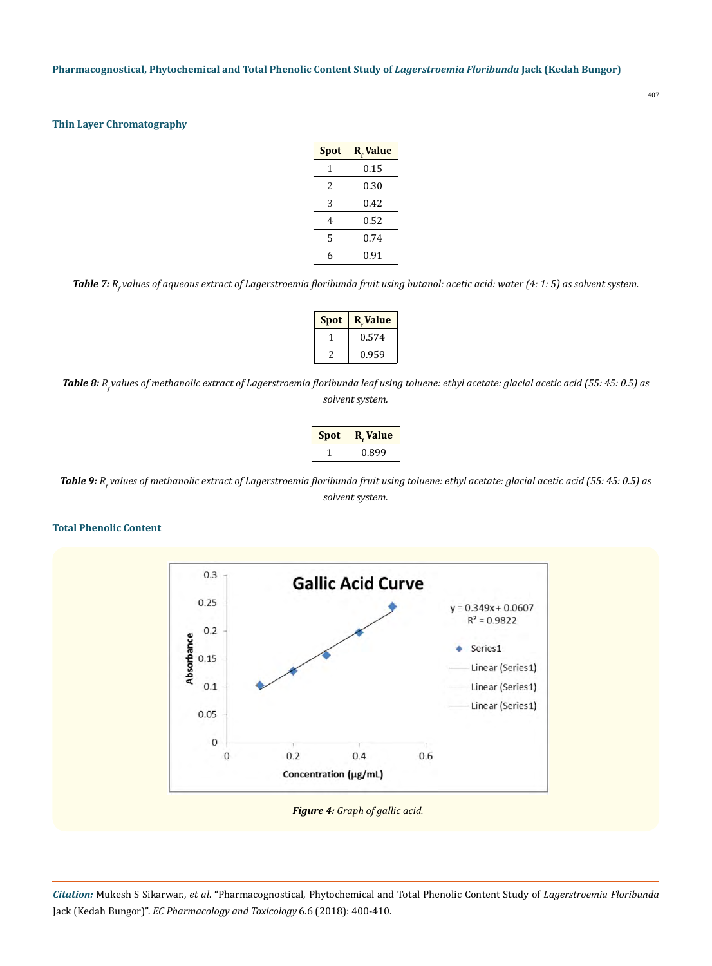## **Thin Layer Chromatography**

| <b>Spot</b> | R <sub>r</sub> Value |
|-------------|----------------------|
| 1           | 0.15                 |
| 2           | 0.30                 |
| 3           | 0.42                 |
| 4           | 0.52                 |
| 5           | 0.74                 |
| 6           | 0.91                 |

*Table 7: Rf values of aqueous extract of Lagerstroemia floribunda fruit using butanol: acetic acid: water (4: 1: 5) as solvent system.*

| <b>Spot</b> | R.Value |
|-------------|---------|
|             | 0.574   |
|             | 0.959   |

Table 8: *R<sub><i>v*</sub>alues of methanolic extract of Lagerstroemia floribunda leaf using toluene: ethyl acetate: glacial acetic acid (55: 45: 0.5) as *solvent system.*

| <b>Spot</b> | <b>R.</b> Value |
|-------------|-----------------|
|             | 0.899           |

*Table 9: Rf values of methanolic extract of Lagerstroemia floribunda fruit using toluene: ethyl acetate: glacial acetic acid (55: 45: 0.5) as solvent system.*

#### **Total Phenolic Content**

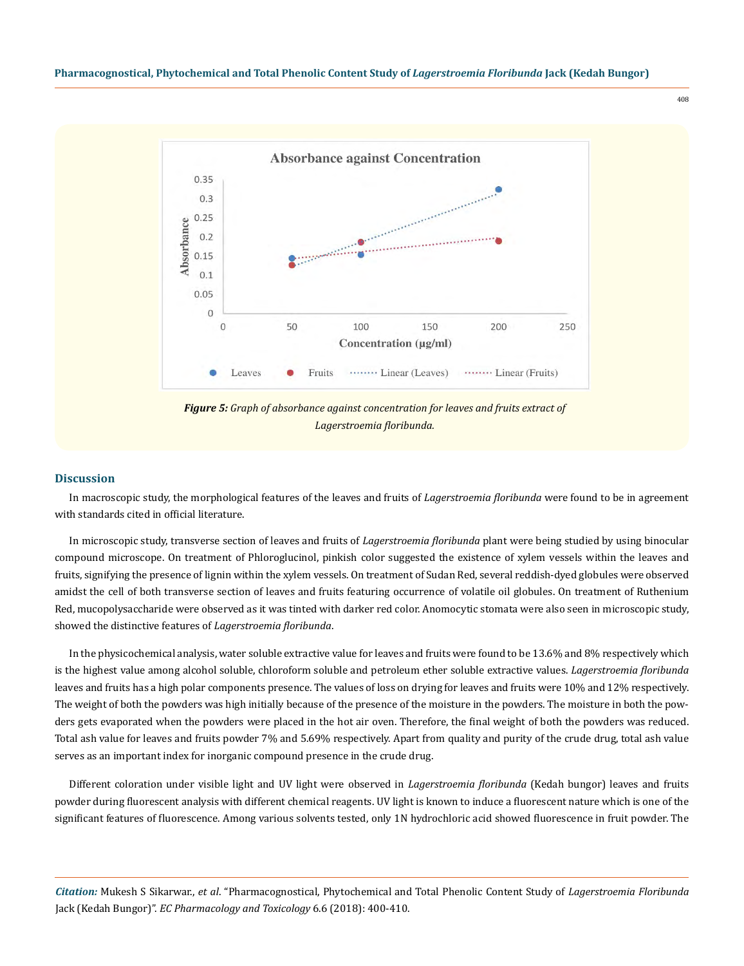

## **Discussion**

In macroscopic study, the morphological features of the leaves and fruits of *Lagerstroemia floribunda* were found to be in agreement with standards cited in official literature.

In microscopic study, transverse section of leaves and fruits of *Lagerstroemia floribunda* plant were being studied by using binocular compound microscope. On treatment of Phloroglucinol, pinkish color suggested the existence of xylem vessels within the leaves and fruits, signifying the presence of lignin within the xylem vessels. On treatment of Sudan Red, several reddish-dyed globules were observed amidst the cell of both transverse section of leaves and fruits featuring occurrence of volatile oil globules. On treatment of Ruthenium Red, mucopolysaccharide were observed as it was tinted with darker red color. Anomocytic stomata were also seen in microscopic study, showed the distinctive features of *Lagerstroemia floribunda*.

In the physicochemical analysis, water soluble extractive value for leaves and fruits were found to be 13.6% and 8% respectively which is the highest value among alcohol soluble, chloroform soluble and petroleum ether soluble extractive values. *Lagerstroemia floribunda*  leaves and fruits has a high polar components presence. The values of loss on drying for leaves and fruits were 10% and 12% respectively. The weight of both the powders was high initially because of the presence of the moisture in the powders. The moisture in both the powders gets evaporated when the powders were placed in the hot air oven. Therefore, the final weight of both the powders was reduced. Total ash value for leaves and fruits powder 7% and 5.69% respectively. Apart from quality and purity of the crude drug, total ash value serves as an important index for inorganic compound presence in the crude drug.

Different coloration under visible light and UV light were observed in *Lagerstroemia floribunda* (Kedah bungor) leaves and fruits powder during fluorescent analysis with different chemical reagents. UV light is known to induce a fluorescent nature which is one of the significant features of fluorescence. Among various solvents tested, only 1N hydrochloric acid showed fluorescence in fruit powder. The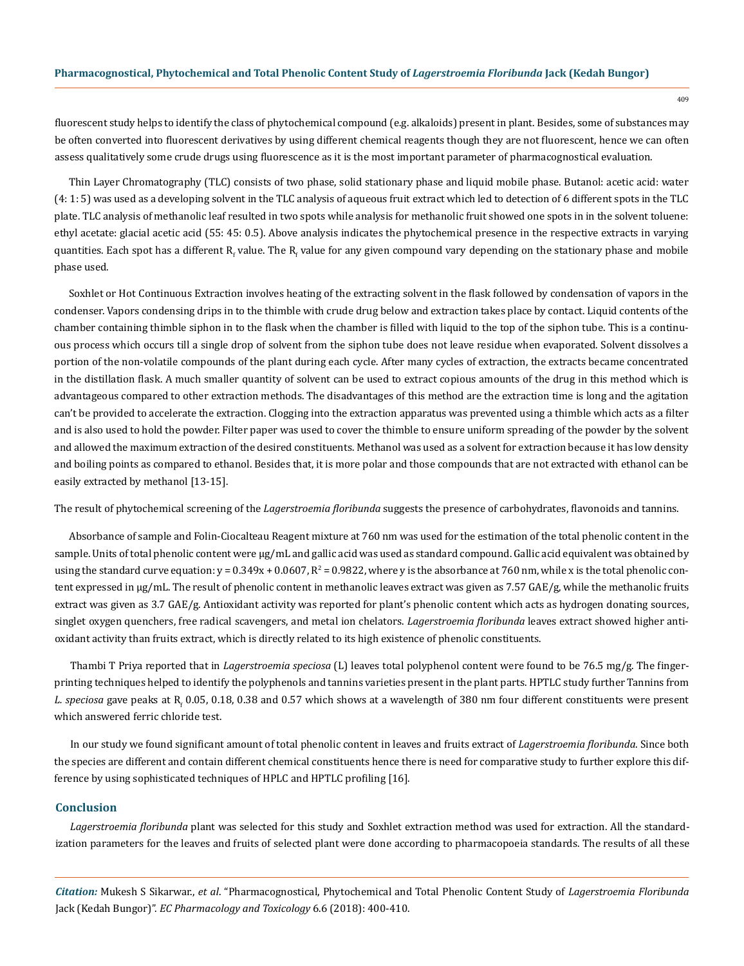fluorescent study helps to identify the class of phytochemical compound (e.g. alkaloids) present in plant. Besides, some of substances may be often converted into fluorescent derivatives by using different chemical reagents though they are not fluorescent, hence we can often assess qualitatively some crude drugs using fluorescence as it is the most important parameter of pharmacognostical evaluation.

Thin Layer Chromatography (TLC) consists of two phase, solid stationary phase and liquid mobile phase. Butanol: acetic acid: water (4: 1: 5) was used as a developing solvent in the TLC analysis of aqueous fruit extract which led to detection of 6 different spots in the TLC plate. TLC analysis of methanolic leaf resulted in two spots while analysis for methanolic fruit showed one spots in in the solvent toluene: ethyl acetate: glacial acetic acid (55: 45: 0.5). Above analysis indicates the phytochemical presence in the respective extracts in varying quantities. Each spot has a different R<sub>f</sub> value. The R<sub>f</sub> value for any given compound vary depending on the stationary phase and mobile phase used.

Soxhlet or Hot Continuous Extraction involves heating of the extracting solvent in the flask followed by condensation of vapors in the condenser. Vapors condensing drips in to the thimble with crude drug below and extraction takes place by contact. Liquid contents of the chamber containing thimble siphon in to the flask when the chamber is filled with liquid to the top of the siphon tube. This is a continuous process which occurs till a single drop of solvent from the siphon tube does not leave residue when evaporated. Solvent dissolves a portion of the non-volatile compounds of the plant during each cycle. After many cycles of extraction, the extracts became concentrated in the distillation flask. A much smaller quantity of solvent can be used to extract copious amounts of the drug in this method which is advantageous compared to other extraction methods. The disadvantages of this method are the extraction time is long and the agitation can't be provided to accelerate the extraction. Clogging into the extraction apparatus was prevented using a thimble which acts as a filter and is also used to hold the powder. Filter paper was used to cover the thimble to ensure uniform spreading of the powder by the solvent and allowed the maximum extraction of the desired constituents. Methanol was used as a solvent for extraction because it has low density and boiling points as compared to ethanol. Besides that, it is more polar and those compounds that are not extracted with ethanol can be easily extracted by methanol [13-15].

The result of phytochemical screening of the *Lagerstroemia floribunda* suggests the presence of carbohydrates, flavonoids and tannins.

Absorbance of sample and Folin-Ciocalteau Reagent mixture at 760 nm was used for the estimation of the total phenolic content in the sample. Units of total phenolic content were µg/mL and gallic acid was used as standard compound. Gallic acid equivalent was obtained by using the standard curve equation:  $y = 0.349x + 0.0607$ ,  $R^2 = 0.9822$ , where  $y$  is the absorbance at  $760$  nm, while x is the total phenolic content expressed in µg/mL. The result of phenolic content in methanolic leaves extract was given as 7.57 GAE/g, while the methanolic fruits extract was given as 3.7 GAE/g. Antioxidant activity was reported for plant's phenolic content which acts as hydrogen donating sources, singlet oxygen quenchers, free radical scavengers, and metal ion chelators. *Lagerstroemia floribunda* leaves extract showed higher antioxidant activity than fruits extract, which is directly related to its high existence of phenolic constituents.

Thambi T Priya reported that in *Lagerstroemia speciosa* (L) leaves total polyphenol content were found to be 76.5 mg/g. The fingerprinting techniques helped to identify the polyphenols and tannins varieties present in the plant parts. HPTLC study further Tannins from L. speciosa gave peaks at R<sub>f</sub> 0.05, 0.18, 0.38 and 0.57 which shows at a wavelength of 380 nm four different constituents were present which answered ferric chloride test.

In our study we found significant amount of total phenolic content in leaves and fruits extract of *Lagerstroemia floribunda*. Since both the species are different and contain different chemical constituents hence there is need for comparative study to further explore this difference by using sophisticated techniques of HPLC and HPTLC profiling [16].

## **Conclusion**

*Lagerstroemia floribunda* plant was selected for this study and Soxhlet extraction method was used for extraction. All the standardization parameters for the leaves and fruits of selected plant were done according to pharmacopoeia standards. The results of all these

*Citation:* Mukesh S Sikarwar., *et al*. "Pharmacognostical, Phytochemical and Total Phenolic Content Study of *Lagerstroemia Floribunda*  Jack (Kedah Bungor)". *EC Pharmacology and Toxicology* 6.6 (2018): 400-410.